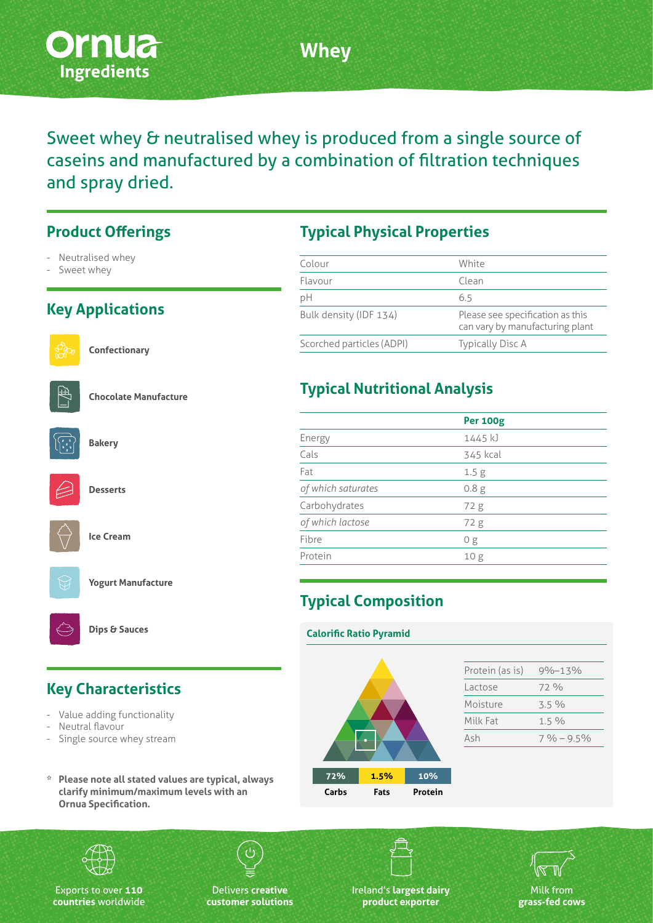

**Whey**

Sweet whey & neutralised whey is produced from a single source of caseins and manufactured by a combination of filtration techniques and spray dried.

#### **Product Offerings**

- Neutralised whey
- Sweet whey

### **Key Applications**



**Confectionary**



**Chocolate Manufacture**



**Desserts**

**Bakery**







**Dips & Sauces**

## **Key Characteristics**

- Value adding functionality
- Neutral flavour
- Single source whey stream
- **\* Please note all stated values are typical, always clarify minimum/maximum levels with an Ornua Specification.**

### **Typical Physical Properties**

| Colour                    | White                                                               |
|---------------------------|---------------------------------------------------------------------|
| Flavour                   | Clean                                                               |
| рH                        | 6.5                                                                 |
| Bulk density (IDF 134)    | Please see specification as this<br>can vary by manufacturing plant |
| Scorched particles (ADPI) | <b>Typically Disc A</b>                                             |

## **Typical Nutritional Analysis**

|                    | <b>Per 100g</b>  |  |
|--------------------|------------------|--|
| Energy             | 1445 kJ          |  |
| Cals               | 345 kcal         |  |
| Fat                | 1.5 <sub>g</sub> |  |
| of which saturates | 0.8 <sub>g</sub> |  |
| Carbohydrates      | 72 g             |  |
| of which lactose   | 72 g             |  |
| Fibre              | 0g               |  |
| Protein            | 10g              |  |
|                    |                  |  |

# **Typical Composition**

# **Calorific Ratio Pyramid**







Exports to over **110 countries** worldwide

Delivers **creative customer solutions** Ireland's **largest dairy product exporter**